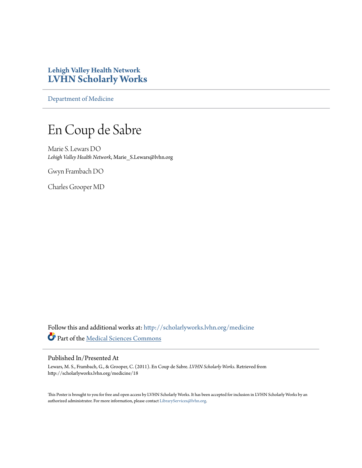#### **Lehigh Valley Health Network [LVHN Scholarly Works](http://scholarlyworks.lvhn.org?utm_source=scholarlyworks.lvhn.org%2Fmedicine%2F18&utm_medium=PDF&utm_campaign=PDFCoverPages)**

[Department of Medicine](http://scholarlyworks.lvhn.org/medicine?utm_source=scholarlyworks.lvhn.org%2Fmedicine%2F18&utm_medium=PDF&utm_campaign=PDFCoverPages)

#### En Coup de Sabre

Marie S. Lewars DO *Lehigh Valley Health Network*, Marie\_S.Lewars@lvhn.org

Gwyn Frambach DO

Charles Grooper MD

Follow this and additional works at: [http://scholarlyworks.lvhn.org/medicine](http://scholarlyworks.lvhn.org/medicine?utm_source=scholarlyworks.lvhn.org%2Fmedicine%2F18&utm_medium=PDF&utm_campaign=PDFCoverPages) Part of the [Medical Sciences Commons](http://network.bepress.com/hgg/discipline/664?utm_source=scholarlyworks.lvhn.org%2Fmedicine%2F18&utm_medium=PDF&utm_campaign=PDFCoverPages)

#### Published In/Presented At

Lewars, M. S., Frambach, G., & Grooper, C. (2011). En Coup de Sabre. *LVHN Scholarly Works*. Retrieved from http://scholarlyworks.lvhn.org/medicine/18

This Poster is brought to you for free and open access by LVHN Scholarly Works. It has been accepted for inclusion in LVHN Scholarly Works by an authorized administrator. For more information, please contact [LibraryServices@lvhn.org.](mailto:LibraryServices@lvhn.org)